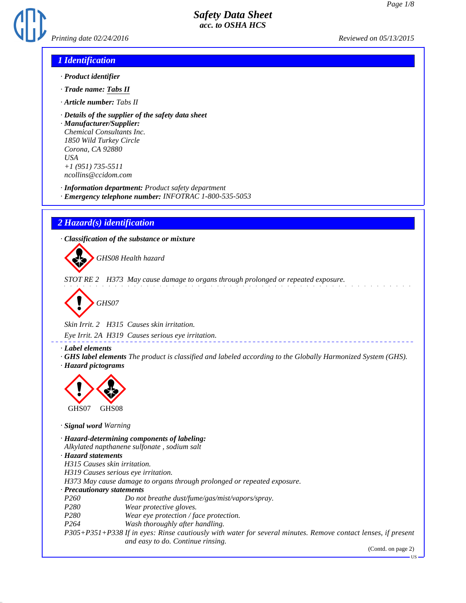

### *1 Identification*

- *· Product identifier*
- *· Trade name: Tabs II*
- *· Article number: Tabs II*
- *· Details of the supplier of the safety data sheet*

*· Manufacturer/Supplier: Chemical Consultants Inc. 1850 Wild Turkey Circle Corona, CA 92880 USA +1 (951) 735-5511 ncollins@ccidom.com*

*· Information department: Product safety department*

*· Emergency telephone number: INFOTRAC 1-800-535-5053*

# *2 Hazard(s) identification*

*· Classification of the substance or mixture*

d~*GHS08 Health hazard*

*STOT RE 2 H373 May cause damage to organs through prolonged or repeated exposure.*



*Skin Irrit. 2 H315 Causes skin irritation.*

*Eye Irrit. 2A H319 Causes serious eye irritation.*

*· Label elements*

*· GHS label elements The product is classified and labeled according to the Globally Harmonized System (GHS). · Hazard pictograms*

\_\_\_\_\_\_\_\_\_\_\_\_\_\_\_\_\_\_\_\_\_\_



*· Signal word Warning*

*· Hazard-determining components of labeling:*

*Alkylated napthanene sulfonate , sodium salt*

*· Hazard statements*

*H315 Causes skin irritation.*

*H319 Causes serious eye irritation.*

*H373 May cause damage to organs through prolonged or repeated exposure.*

*· Precautionary statements*

- *P260 Do not breathe dust/fume/gas/mist/vapors/spray.*
- *P280 Wear protective gloves.*
- *P280 Wear eye protection / face protection.*
- *P264 Wash thoroughly after handling.*

*P305+P351+P338 If in eyes: Rinse cautiously with water for several minutes. Remove contact lenses, if present and easy to do. Continue rinsing.*

(Contd. on page 2)

US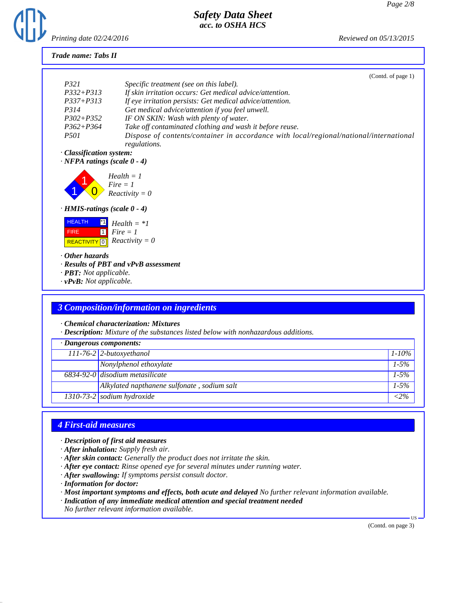

### *Trade name: Tabs II*

|                                                                              | (Contd. of page 1)                                                                                     |
|------------------------------------------------------------------------------|--------------------------------------------------------------------------------------------------------|
| <i>P321</i>                                                                  | Specific treatment (see on this label).                                                                |
| $P332 + P313$                                                                | If skin irritation occurs: Get medical advice/attention.                                               |
| $P337 + P313$                                                                | If eye irritation persists: Get medical advice/attention.                                              |
| <i>P314</i>                                                                  | Get medical advice/attention if you feel unwell.                                                       |
| $P302 + P352$                                                                | IF ON SKIN: Wash with plenty of water.                                                                 |
| $P362 + P364$                                                                | Take off contaminated clothing and wash it before reuse.                                               |
| <i>P501</i>                                                                  | Dispose of contents/container in accordance with local/regional/national/international<br>regulations. |
| · Classification system:                                                     |                                                                                                        |
| $\cdot$ NFPA ratings (scale 0 - 4)                                           |                                                                                                        |
|                                                                              | $Health = 1$<br>$Fire = 1$<br>Reactivity = 0                                                           |
| $\cdot$ HMIS-ratings (scale $0 - 4$ )                                        |                                                                                                        |
| <b>HEALTH</b><br> *1 <br>  1 <b>  </b><br><b>FIRE</b><br><b>REACTIVITY</b> 0 | $Health = *1$<br>$Fire = 1$<br>$Reactivity = 0$                                                        |
| $\cdot$ Other hazards<br>· <b>PBT</b> : Not applicable.                      | $\cdot$ Results of PBT and vPvB assessment                                                             |

*· vPvB: Not applicable.*

## *3 Composition/information on ingredients*

#### *· Chemical characterization: Mixtures*

*· Description: Mixture of the substances listed below with nonhazardous additions.*

| $\cdot$ Dangerous components: |                                             |            |
|-------------------------------|---------------------------------------------|------------|
|                               | $111-76-2$ 2-butoxyethanol                  | $1 - 10\%$ |
|                               | Nonylphenol ethoxylate                      | $1 - 5\%$  |
|                               | 6834-92-0 disodium metasilicate             | $1 - 5\%$  |
|                               | Alkylated napthanene sulfonate, sodium salt | $1 - 5\%$  |
|                               | $1310-73-2$ sodium hydroxide                | $< 2\%$    |

## *4 First-aid measures*

*· Description of first aid measures*

- *· After inhalation: Supply fresh air.*
- *· After skin contact: Generally the product does not irritate the skin.*
- *· After eye contact: Rinse opened eye for several minutes under running water.*
- *· After swallowing: If symptoms persist consult doctor.*
- *· Information for doctor:*
- *· Most important symptoms and effects, both acute and delayed No further relevant information available.*
- *· Indication of any immediate medical attention and special treatment needed*
- *No further relevant information available.*

(Contd. on page 3)

US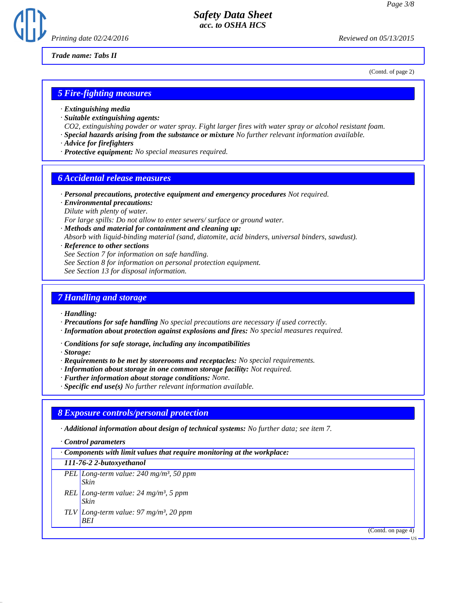

*Trade name: Tabs II*

(Contd. of page 2)

### *5 Fire-fighting measures*

- *· Extinguishing media*
- *· Suitable extinguishing agents:*
- *CO2, extinguishing powder or water spray. Fight larger fires with water spray or alcohol resistant foam.*
- *· Special hazards arising from the substance or mixture No further relevant information available.*
- *· Advice for firefighters*
- *· Protective equipment: No special measures required.*

### *6 Accidental release measures*

- *· Personal precautions, protective equipment and emergency procedures Not required.*
- *· Environmental precautions: Dilute with plenty of water.*
- *For large spills: Do not allow to enter sewers/ surface or ground water.*
- *· Methods and material for containment and cleaning up: Absorb with liquid-binding material (sand, diatomite, acid binders, universal binders, sawdust).*
- *· Reference to other sections See Section 7 for information on safe handling. See Section 8 for information on personal protection equipment.*

*See Section 13 for disposal information.*

### *7 Handling and storage*

*· Handling:*

- *· Precautions for safe handling No special precautions are necessary if used correctly.*
- *· Information about protection against explosions and fires: No special measures required.*
- *· Conditions for safe storage, including any incompatibilities*

*· Storage:*

- *· Requirements to be met by storerooms and receptacles: No special requirements.*
- *· Information about storage in one common storage facility: Not required.*
- *· Further information about storage conditions: None.*
- *· Specific end use(s) No further relevant information available.*

### *8 Exposure controls/personal protection*

*· Additional information about design of technical systems: No further data; see item 7.*

*· Control parameters*

| $\cdot$ Components with limit values that require monitoring at the workplace: |                                                       |
|--------------------------------------------------------------------------------|-------------------------------------------------------|
|                                                                                | 111-76-2 2-butoxyethanol                              |
|                                                                                | PEL Long-term value: $240$ mg/m <sup>3</sup> , 50 ppm |

- *Skin REL Long-term value: 24 mg/m³, 5 ppm Skin*
- *TLV Long-term value: 97 mg/m³, 20 ppm BEI*

(Contd. on page 4)

US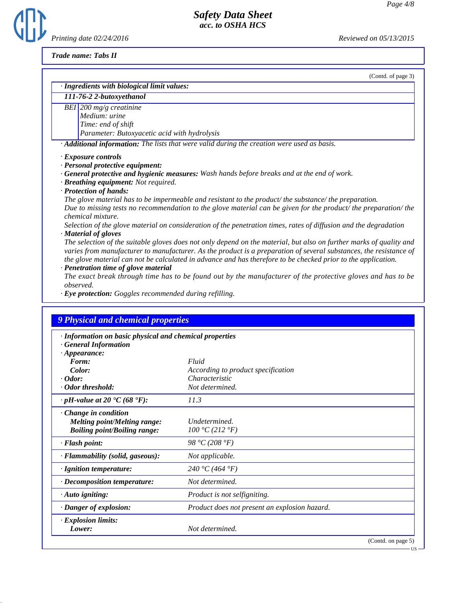*Printing date 02/24/2016 Reviewed on 05/13/2015*

**(f)** 

*Trade name: Tabs II*

| (Contd. of page 3)                                                                                                                                                                                                                                                                                                                                         |
|------------------------------------------------------------------------------------------------------------------------------------------------------------------------------------------------------------------------------------------------------------------------------------------------------------------------------------------------------------|
| · Ingredients with biological limit values:                                                                                                                                                                                                                                                                                                                |
| 111-76-2 2-butoxyethanol                                                                                                                                                                                                                                                                                                                                   |
| BEI 200 mg/g creatinine<br>Medium: urine<br>Time: end of shift<br>Parameter: Butoxyacetic acid with hydrolysis                                                                                                                                                                                                                                             |
| · Additional information: The lists that were valid during the creation were used as basis.                                                                                                                                                                                                                                                                |
| <b>General protective and hygienic measures:</b> Wash hands before breaks and at the end of work.<br>· Breathing equipment: Not required.<br>· Protection of hands:                                                                                                                                                                                        |
| The glove material has to be impermeable and resistant to the product/ the substance/ the preparation.<br>Due to missing tests no recommendation to the glove material can be given for the product/ the preparation/ the                                                                                                                                  |
| <i>chemical mixture.</i><br>Selection of the glove material on consideration of the penetration times, rates of diffusion and the degradation<br>· Material of gloves                                                                                                                                                                                      |
| The selection of the suitable gloves does not only depend on the material, but also on further marks of quality and<br>varies from manufacturer to manufacturer. As the product is a preparation of several substances, the resistance of<br>the glove material can not be calculated in advance and has therefore to be checked prior to the application. |
| · Penetration time of glove material<br>The exact break through time has to be found out by the manufacturer of the protective gloves and has to be                                                                                                                                                                                                        |

*The exact break through time has to be found out by the manufacturer of the protective gloves and has to be observed.*

*· Eye protection: Goggles recommended during refilling.*

| · Information on basic physical and chemical properties<br>· General Information |                                               |  |
|----------------------------------------------------------------------------------|-----------------------------------------------|--|
| $\cdot$ Appearance:                                                              |                                               |  |
| Form:                                                                            | Fluid                                         |  |
| Color:                                                                           | According to product specification            |  |
| $\cdot$ Odor:                                                                    | Characteristic                                |  |
| · Odor threshold:                                                                | Not determined.                               |  |
| $\cdot$ pH-value at 20 $\textdegree$ C (68 $\textdegree$ F):                     | 11.3                                          |  |
| Change in condition                                                              |                                               |  |
| <b>Melting point/Melting range:</b>                                              | Undetermined.                                 |  |
| <b>Boiling point/Boiling range:</b>                                              | 100 °C (212 °F)                               |  |
| · Flash point:                                                                   | 98 °C (208 °F)                                |  |
| · Flammability (solid, gaseous):                                                 | Not applicable.                               |  |
| · Ignition temperature:                                                          | 240 °C (464 °F)                               |  |
| $\cdot$ Decomposition temperature:                                               | Not determined.                               |  |
| $\cdot$ Auto igniting:                                                           | Product is not selfigniting.                  |  |
| · Danger of explosion:                                                           | Product does not present an explosion hazard. |  |
| <b>Explosion limits:</b>                                                         |                                               |  |
| Lower:                                                                           | Not determined.                               |  |

US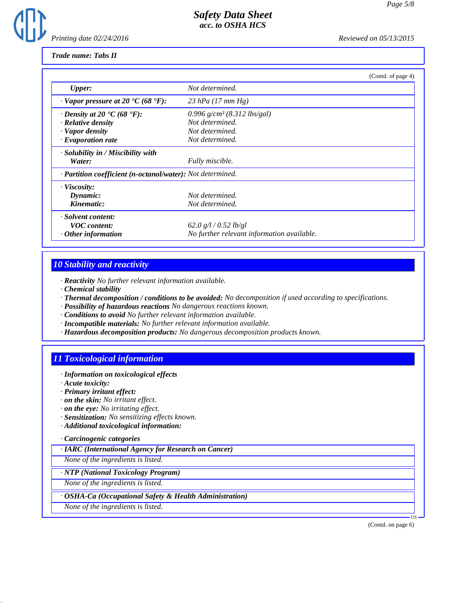

### *Trade name: Tabs II*

|                                                            |                                            | (Contd. of page 4) |
|------------------------------------------------------------|--------------------------------------------|--------------------|
| <b>Upper:</b>                                              | Not determined.                            |                    |
| $\cdot$ Vapor pressure at 20 $\cdot$ C (68 $\cdot$ F):     | 23 hPa $(17 \, \text{mm Hg})$              |                    |
| $\cdot$ Density at 20 $\cdot$ C (68 $\cdot$ F):            | 0.996 $g/cm^3$ (8.312 lbs/gal)             |                    |
| $\cdot$ Relative density                                   | Not determined.                            |                    |
| · Vapor density                                            | Not determined.                            |                    |
| $\cdot$ Evaporation rate                                   | Not determined.                            |                    |
| $\cdot$ Solubility in / Miscibility with                   |                                            |                    |
| Water:                                                     | Fully miscible.                            |                    |
| · Partition coefficient (n-octanol/water): Not determined. |                                            |                    |
| · Viscosity:                                               |                                            |                    |
| Dynamic:                                                   | Not determined.                            |                    |
| Kinematic:                                                 | Not determined.                            |                    |
| $\cdot$ Solvent content:                                   |                                            |                    |
| <b>VOC</b> content:                                        | 62.0 $g/l / 0.52$ lb/gl                    |                    |
| $\cdot$ Other information                                  | No further relevant information available. |                    |

# *10 Stability and reactivity*

- *· Reactivity No further relevant information available.*
- *· Chemical stability*
- *· Thermal decomposition / conditions to be avoided: No decomposition if used according to specifications.*
- *· Possibility of hazardous reactions No dangerous reactions known.*
- *· Conditions to avoid No further relevant information available.*
- *· Incompatible materials: No further relevant information available.*
- *· Hazardous decomposition products: No dangerous decomposition products known.*

## *11 Toxicological information*

- *· Information on toxicological effects*
- *· Acute toxicity:*
- *· Primary irritant effect:*
- *· on the skin: No irritant effect.*
- *· on the eye: No irritating effect.*
- *· Sensitization: No sensitizing effects known.*
- *· Additional toxicological information:*

#### *· Carcinogenic categories*

*· IARC (International Agency for Research on Cancer)*

*None of the ingredients is listed.*

#### *· NTP (National Toxicology Program)*

*None of the ingredients is listed.*

#### *· OSHA-Ca (Occupational Safety & Health Administration)*

*None of the ingredients is listed.*

(Contd. on page 6)

US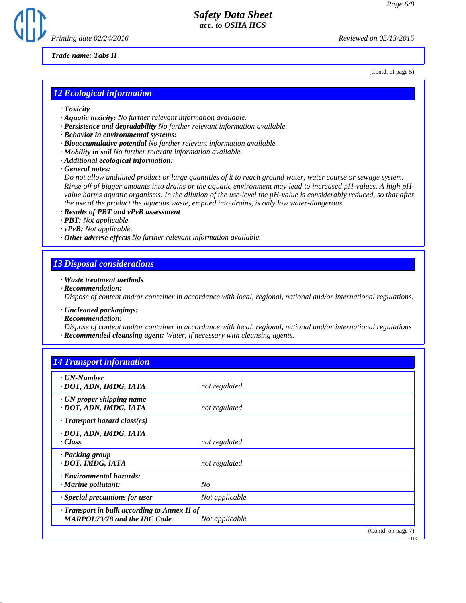

*Trade name: Tabs II*

(Contd. of page 5)

### *12 Ecological information*

- *· Toxicity*
- *· Aquatic toxicity: No further relevant information available.*
- *· Persistence and degradability No further relevant information available.*
- *· Behavior in environmental systems:*
- *· Bioaccumulative potential No further relevant information available.*
- *· Mobility in soil No further relevant information available.*
- *· Additional ecological information:*
- *· General notes:*

*Do not allow undiluted product or large quantities of it to reach ground water, water course or sewage system. Rinse off of bigger amounts into drains or the aquatic environment may lead to increased pH-values. A high pHvalue harms aquatic organisms. In the dilution of the use-level the pH-value is considerably reduced, so that after the use of the product the aqueous waste, emptied into drains, is only low water-dangerous.*

- *· Results of PBT and vPvB assessment*
- *· PBT: Not applicable.*
- *· vPvB: Not applicable.*
- *· Other adverse effects No further relevant information available.*

### *13 Disposal considerations*

*· Waste treatment methods*

*· Recommendation:*

*Dispose of content and/or container in accordance with local, regional, national and/or international regulations.*

*· Uncleaned packagings:*

*· Recommendation:*

*Dispose of content and/or container in accordance with local, regional, national and/or international regulations · Recommended cleansing agent: Water, if necessary with cleansing agents.*

| $\cdot$ UN-Number                                         |                 |  |
|-----------------------------------------------------------|-----------------|--|
| · DOT, ADN, IMDG, IATA                                    | not regulated   |  |
| $\cdot$ UN proper shipping name<br>· DOT, ADN, IMDG, IATA | not regulated   |  |
| $\cdot$ Transport hazard class(es)                        |                 |  |
| · DOT, ADN, IMDG, IATA                                    |                 |  |
| · Class                                                   | not regulated   |  |
| · Packing group                                           |                 |  |
| · DOT, IMDG, IATA                                         | not regulated   |  |
| · Environmental hazards:                                  |                 |  |
| $\cdot$ Marine pollutant:                                 | $N_{O}$         |  |
| Special precautions for user                              | Not applicable. |  |
| · Transport in bulk according to Annex II of              |                 |  |
| <b>MARPOL73/78 and the IBC Code</b>                       | Not applicable. |  |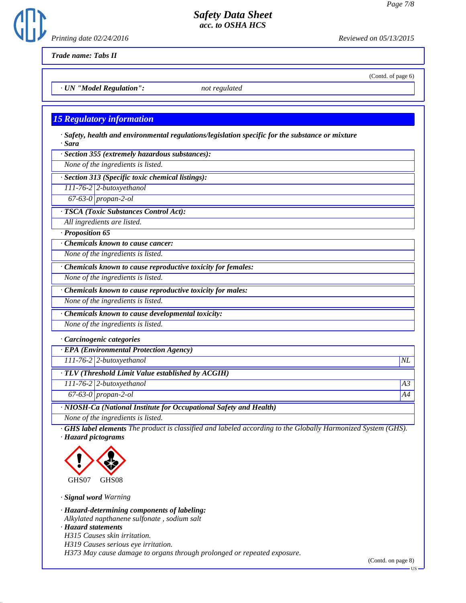(Contd. of page 6)



# *Safety Data Sheet acc. to OSHA HCS*

*Trade name: Tabs II*

*· UN "Model Regulation": not regulated*

## *15 Regulatory information*

*· Safety, health and environmental regulations/legislation specific for the substance or mixture · Sara*

*· Section 355 (extremely hazardous substances):*

*None of the ingredients is listed.*

*· Section 313 (Specific toxic chemical listings):*

*111-76-2 2-butoxyethanol*

*67-63-0 propan-2-ol*

*· TSCA (Toxic Substances Control Act):*

*All ingredients are listed.*

*· Proposition 65*

*· Chemicals known to cause cancer:*

*None of the ingredients is listed.*

*· Chemicals known to cause reproductive toxicity for females:*

*None of the ingredients is listed.*

*· Chemicals known to cause reproductive toxicity for males:*

*None of the ingredients is listed.*

*· Chemicals known to cause developmental toxicity:*

*None of the ingredients is listed.*

*· Carcinogenic categories*

*· EPA (Environmental Protection Agency)*

*111-76-2 2-butoxyethanol NL*

*· TLV (Threshold Limit Value established by ACGIH)*

*111-76-2 2-butoxyethanol A3*

*67-63-0 propan-2-ol A4*

*· NIOSH-Ca (National Institute for Occupational Safety and Health)*

*None of the ingredients is listed.*

*· GHS label elements The product is classified and labeled according to the Globally Harmonized System (GHS). · Hazard pictograms*



*· Signal word Warning*

*· Hazard-determining components of labeling: Alkylated napthanene sulfonate , sodium salt · Hazard statements H315 Causes skin irritation. H319 Causes serious eye irritation. H373 May cause damage to organs through prolonged or repeated exposure.*

(Contd. on page 8)

US